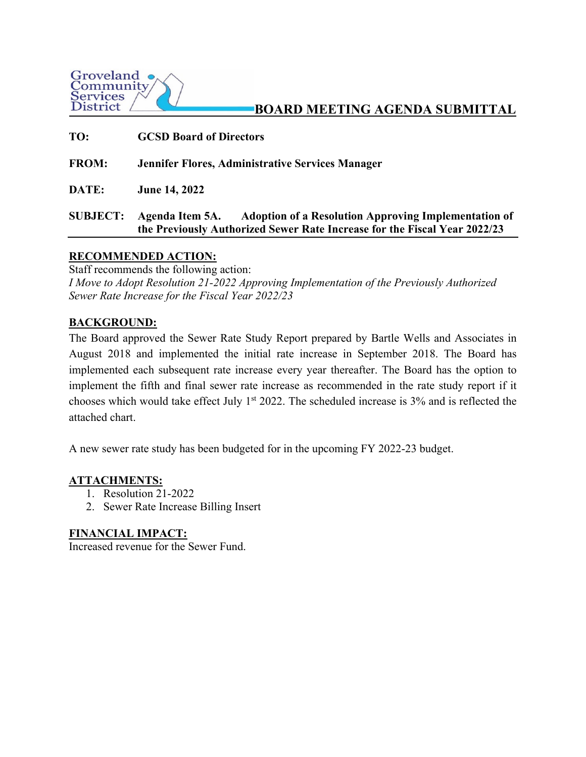

## **BOARD MEETING AGENDA SUBMITTAL**

| TO:             | <b>GCSD Board of Directors</b>                                                                                                                    |  |
|-----------------|---------------------------------------------------------------------------------------------------------------------------------------------------|--|
| <b>FROM:</b>    | <b>Jennifer Flores, Administrative Services Manager</b>                                                                                           |  |
| DATE:           | <b>June 14, 2022</b>                                                                                                                              |  |
| <b>SUBJECT:</b> | Agenda Item 5A. Adoption of a Resolution Approving Implementation of<br>the Previously Authorized Sewer Rate Increase for the Fiscal Year 2022/23 |  |

#### **RECOMMENDED ACTION:**

Staff recommends the following action: *I Move to Adopt Resolution 21-2022 Approving Implementation of the Previously Authorized Sewer Rate Increase for the Fiscal Year 2022/23* 

#### **BACKGROUND:**

The Board approved the Sewer Rate Study Report prepared by Bartle Wells and Associates in August 2018 and implemented the initial rate increase in September 2018. The Board has implemented each subsequent rate increase every year thereafter. The Board has the option to implement the fifth and final sewer rate increase as recommended in the rate study report if it chooses which would take effect July  $1<sup>st</sup> 2022$ . The scheduled increase is 3% and is reflected the attached chart.

A new sewer rate study has been budgeted for in the upcoming FY 2022-23 budget.

#### **ATTACHMENTS:**

- 1. Resolution 21-2022
- 2. Sewer Rate Increase Billing Insert

#### **FINANCIAL IMPACT:**

Increased revenue for the Sewer Fund.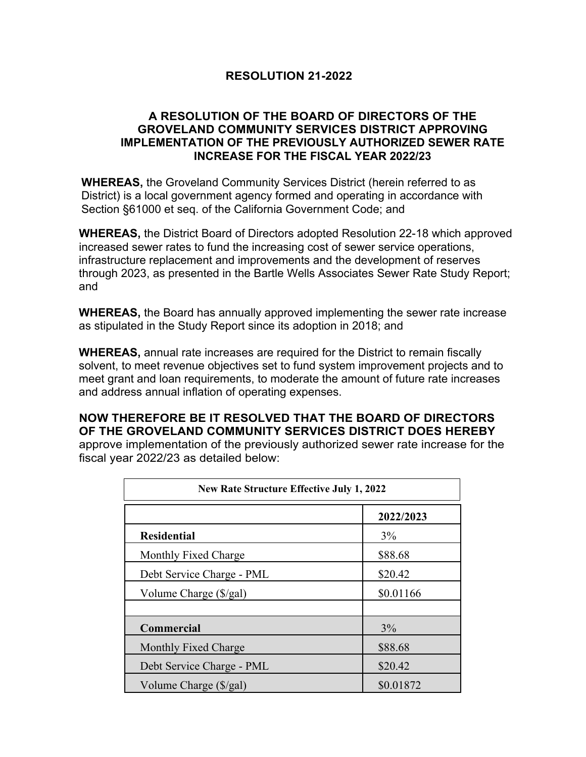#### **RESOLUTION 21-2022**

#### **A RESOLUTION OF THE BOARD OF DIRECTORS OF THE GROVELAND COMMUNITY SERVICES DISTRICT APPROVING IMPLEMENTATION OF THE PREVIOUSLY AUTHORIZED SEWER RATE INCREASE FOR THE FISCAL YEAR 2022/23**

**WHEREAS,** the Groveland Community Services District (herein referred to as District) is a local government agency formed and operating in accordance with Section §61000 et seq. of the California Government Code; and

**WHEREAS,** the District Board of Directors adopted Resolution 22-18 which approved increased sewer rates to fund the increasing cost of sewer service operations, infrastructure replacement and improvements and the development of reserves through 2023, as presented in the Bartle Wells Associates Sewer Rate Study Report; and

**WHEREAS,** the Board has annually approved implementing the sewer rate increase as stipulated in the Study Report since its adoption in 2018; and

**WHEREAS,** annual rate increases are required for the District to remain fiscally solvent, to meet revenue objectives set to fund system improvement projects and to meet grant and loan requirements, to moderate the amount of future rate increases and address annual inflation of operating expenses.

#### **NOW THEREFORE BE IT RESOLVED THAT THE BOARD OF DIRECTORS OF THE GROVELAND COMMUNITY SERVICES DISTRICT DOES HEREBY**

approve implementation of the previously authorized sewer rate increase for the fiscal year 2022/23 as detailed below:

| <b>New Rate Structure Effective July 1, 2022</b> |           |  |
|--------------------------------------------------|-----------|--|
|                                                  | 2022/2023 |  |
| <b>Residential</b>                               | 3%        |  |
| Monthly Fixed Charge                             | \$88.68   |  |
| Debt Service Charge - PML                        | \$20.42   |  |
| Volume Charge (\$/gal)                           | \$0.01166 |  |
| <b>Commercial</b>                                | 3%        |  |
| Monthly Fixed Charge                             | \$88.68   |  |
| Debt Service Charge - PML                        | \$20.42   |  |
| Volume Charge (\$/gal)                           | \$0.01872 |  |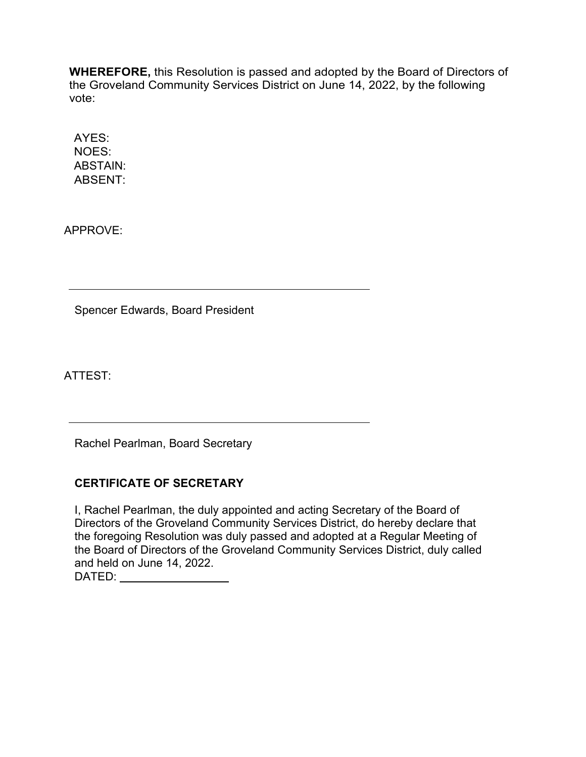**WHEREFORE,** this Resolution is passed and adopted by the Board of Directors of the Groveland Community Services District on June 14, 2022, by the following vote:

AYES: NOES: ABSTAIN: ABSENT:

APPROVE:

Spencer Edwards, Board President

ATTEST:

Rachel Pearlman, Board Secretary

### **CERTIFICATE OF SECRETARY**

I, Rachel Pearlman, the duly appointed and acting Secretary of the Board of Directors of the Groveland Community Services District, do hereby declare that the foregoing Resolution was duly passed and adopted at a Regular Meeting of the Board of Directors of the Groveland Community Services District, duly called and held on June 14, 2022. DATED: